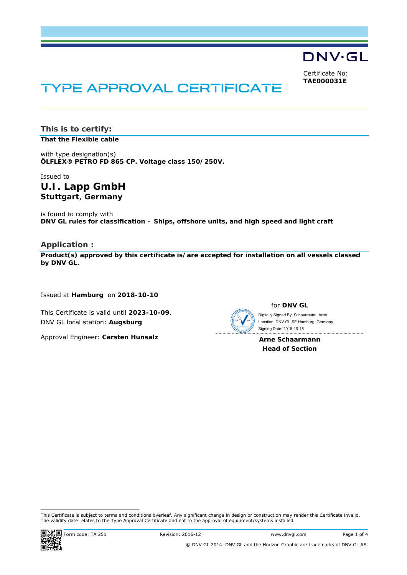**DNV·GL** 

Certificate No: **TAE000031E**

# TYPE APPROVAL CERTIFICATE

**This is to certify: That the Flexible cable**

with type designation(s) **ÖLFLEX® PETRO FD 865 CP. Voltage class 150/250V.**

# Issued to **U.I. Lapp GmbH Stuttgart**, **Germany**

is found to comply with **DNV GL rules for classification – Ships, offshore units, and high speed and light craft** 

## **Application :**

**Product(s) approved by this certificate is/are accepted for installation on all vessels classed by DNV GL.** 

Issued at **Hamburg** on **2018-10-10**

This Certificate is valid until **2023-10-09**. DNV GL local station: **Augsburg**

Approval Engineer: **Carsten Hunsalz**



for **DNV GL**

 Signing Date: 2018-10-18 Digitally Signed By: Schaarmann, Arne Location: DNV GL SE Hamburg, Germany

**Arne Schaarmann Head of Section** 

-This Certificate is subject to terms and conditions overleaf. Any significant change in design or construction may render this Certificate invalid. The validity date relates to the Type Approval Certificate and not to the approval of equipment/systems installed.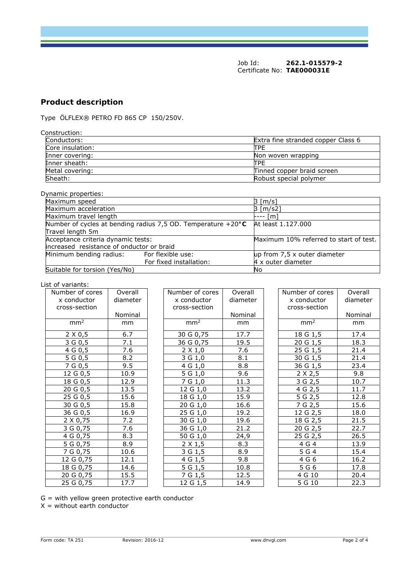Job Id: **262.1-015579-2**  Certificate No: **TAE000031E**

# **Product description**

Type ÖLFLEX® PETRO FD 865 CP 150/250V.

| Construction:    |                                    |
|------------------|------------------------------------|
| Conductors:      | Extra fine stranded copper Class 6 |
| Core insulation: | <b>TTPE</b>                        |
| Inner covering:  | Non woven wrapping                 |
| Inner sheath:    | <b>TPE</b>                         |
| Metal covering:  | Tinned copper braid screen         |
| Sheath:          | Robust special polymer             |

#### Dynamic properties:

| $,$                                       |                                                                        |                                        |
|-------------------------------------------|------------------------------------------------------------------------|----------------------------------------|
| Maximum speed                             |                                                                        | $3 \lfloor m/s \rfloor$                |
| Maximum acceleration                      |                                                                        | $3 \,[\mathrm{m/s2}]$                  |
| Maximum travel length                     |                                                                        | --- [m]                                |
|                                           | Number of cycles at bending radius 7,5 OD. Temperature $+20^{\circ}$ C | At least 1.127.000                     |
| Travel length 5m                          |                                                                        |                                        |
| Acceptance criteria dynamic tests:        |                                                                        | Maximum 10% referred to start of test. |
| increased resistance of onductor or braid |                                                                        |                                        |
| Minimum bending radius: For flexible use: |                                                                        | up from 7,5 x outer diameter           |
|                                           | For fixed installation:                                                | 4 x outer diameter                     |
| Suitable for torsion (Yes/No)             |                                                                        | No                                     |

#### List of variants:

| Number of cores                                                        | Overall           |
|------------------------------------------------------------------------|-------------------|
| x conductor                                                            | diameter          |
| cross-section                                                          |                   |
|                                                                        | Nominal           |
| mm <sup>2</sup>                                                        | mm                |
| 2 X 0,5                                                                | 6.7               |
| $\overline{3}$ G 0,5                                                   | 7.1               |
| 4 G 0,5                                                                | 7.6               |
| $\frac{1}{5}$ G 0,5<br>7 G 0,5                                         | 8.2               |
|                                                                        | 9.5               |
| $12 \overline{G}$ 0,5                                                  | 10.9              |
|                                                                        | 12.9              |
|                                                                        | 13.5              |
| $\frac{12866}{1860,5}$ $\frac{2060,5}{2560,5}$ $\frac{2560,5}{3060,5}$ | 15.6              |
|                                                                        | 15.8              |
| 36 G 0,5                                                               | 16.9              |
| $\frac{2 \times 0.75}{3 \text{ G } 0.75}$                              | 7.2               |
|                                                                        | 7.6               |
| $4 G_0, 75$                                                            | 8.3               |
| 5G0,75                                                                 | 8.9               |
| 7 G 0,75                                                               | $\overline{10.6}$ |
| 12 G 0,75<br>18 G 0,75<br>20 G 0,75<br>25 G 0,75                       | 12.1              |
|                                                                        | 14.6              |
|                                                                        | 15.5              |
|                                                                        | $\overline{17.7}$ |

| nber of cores   | Overall  | Number of cores | Overall  | Number of cores | Overal |
|-----------------|----------|-----------------|----------|-----------------|--------|
| conductor :     | diameter | x conductor     | diameter | x conductor     | diamet |
| oss-section     |          | cross-section   |          | cross-section   |        |
|                 | Nominal  |                 | Nominal  |                 | Nomina |
| mm <sup>2</sup> | mm       | mm <sup>2</sup> | mm       | mm <sup>2</sup> | mm     |
| $2 \times 0,5$  | 6.7      | 30 G 0,75       | 17.7     | 18 G 1,5        | 17.4   |
| 3 G 0,5         | 7.1      | 36 G 0,75       | 19.5     | 20 G 1,5        | 18.3   |
| 4 G 0, 5        | 7.6      | $2 \times 1,0$  | 7.6      | 25 G 1,5        | 21.4   |
| 5 G 0,5         | 8.2      | 3 G 1,0         | 8.1      | 30 G 1,5        | 21.4   |
| 7 G 0,5         | 9.5      | 4 G 1,0         | 8.8      | 36 G 1,5        | 23.4   |
| 12 G 0,5        | 10.9     | 5 G 1,0         | 9.6      | $2 \times 2,5$  | 9.8    |
| 18 G 0,5        | 12.9     | 7 G 1,0         | 11.3     | 3 G 2,5         | 10.7   |
| 20 G 0,5        | 13.5     | 12 G 1,0        | 13.2     | 4 G 2,5         | 11.7   |
| 25 G 0,5        | 15.6     | 18 G 1,0        | 15.9     | 5 G 2,5         | 12.8   |
| 30 G 0,5        | 15.8     | 20 G 1,0        | 16.6     | 7 G 2,5         | 15.6   |
| 36 G 0,5        | 16.9     | 25 G 1,0        | 19.2     | 12 G 2,5        | 18.0   |
| 2 X 0,75        | 7.2      | $30 G_1, 0$     | 19.6     | 18 G 2,5        | 21.5   |
| 3 G 0,75        | 7.6      | 36 G 1,0        | 21.2     | 20 G 2,5        | 22.7   |
| 4 G 0,75        | 8.3      | 50 G 1,0        | 24,9     | 25 G 2,5        | 26.5   |
| 5 G 0,75        | 8.9      | $2 \times 1,5$  | 8.3      | 4 G 4           | 13.9   |
| 7 G 0,75        | 10.6     | 3 G 1,5         | 8.9      | 5 G 4           | 15.4   |
| 12 G 0,75       | 12.1     | 4 G 1,5         | 9.8      | 4 G 6           | 16.2   |
| 18 G 0,75       | 14.6     | 5 G 1,5         | 10.8     | 5 G 6           | 17.8   |
| 20 G 0,75       | 15.5     | 7 G 1,5         | 12.5     | 4 G 10          | 20.4   |
| 25 G 0,75       | 17.7     | 12 G 1,5        | 14.9     | 5 G 10          | 22.3   |

| Number of cores               | Overall           |
|-------------------------------|-------------------|
| x conductor                   | diameter          |
| cross-section                 |                   |
|                               | Nominal           |
| mm <sup>2</sup>               | mm                |
| 18 G 1,5                      | 17.4              |
| 20 G 1,5<br>25 G 1,5          | 18.3              |
|                               | 21.4              |
| 30 G 1,5                      | 21.4              |
| 36 G1,5                       | 23.4              |
| $2 \times 2,5$                | 9.8               |
| 362,5                         | 10.7              |
| $\overline{4 \text{ G } 2,5}$ | 11.7              |
| 5G2,5                         | 12.8              |
| 762,5                         | 15.6              |
| $12$ G 2,5                    | 18.0              |
| 18G2,5                        | 21.5              |
| <u>20 G 2,5</u><br>25 G 2,5   | 22.7              |
|                               | $\overline{2}6.5$ |
| 4G4                           | 13.9              |
| 5G4                           | $15.\overline{4}$ |
| $4\overline{G}6$              | 16.2              |
| 5G6                           | 17.8              |
| 4 G 10                        | 20.4              |
| 5G10                          | 22.3              |

G = with yellow green protective earth conductor

X = without earth conductor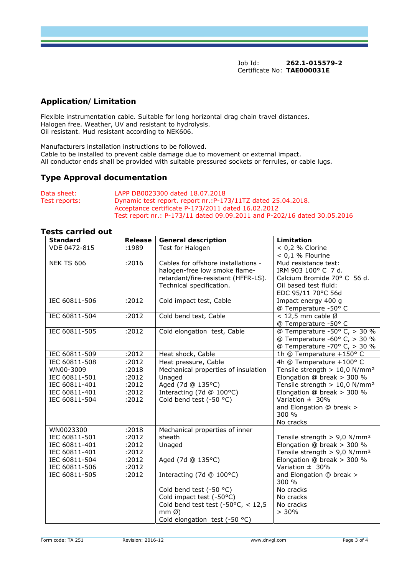Job Id: **262.1-015579-2**  Certificate No: **TAE000031E**

# **Application/Limitation**

Flexible instrumentation cable. Suitable for long horizontal drag chain travel distances. Halogen free. Weather, UV and resistant to hydrolysis. Oil resistant. Mud resistant according to NEK606.

Manufacturers installation instructions to be followed. Cable to be installed to prevent cable damage due to movement or external impact. All conductor ends shall be provided with suitable pressured sockets or ferrules, or cable lugs.

## **Type Approval documentation**

| Data sheet:   | LAPP DB0023300 dated 18.07.2018                                          |
|---------------|--------------------------------------------------------------------------|
| Test reports: | Dynamic test report. report nr.: P-173/11TZ dated 25.04.2018.            |
|               | Acceptance certificate P-173/2011 dated 16.02.2012                       |
|               | Test report nr.: P-173/11 dated 09.09.2011 and P-202/16 dated 30.05.2016 |

#### **Tests carried out**

| <b>Standard</b>   | Release | <b>General description</b>             | Limitation                                  |
|-------------------|---------|----------------------------------------|---------------------------------------------|
| VDE 0472-815      | :1989   | Test for Halogen                       | $< 0.2 %$ Clorine                           |
|                   |         |                                        | $< 0.1$ % Flourine                          |
| <b>NEK TS 606</b> | :2016   | Cables for offshore installations -    | Mud resistance test:                        |
|                   |         | halogen-free low smoke flame-          | IRM 903 100° C 7 d.                         |
|                   |         | retardant/fire-resistant (HFFR-LS).    | Calcium Bromide 70° C 56 d.                 |
|                   |         | Technical specification.               | Oil based test fluid:                       |
|                   |         |                                        | EDC 95/11 70°C 56d                          |
| IEC 60811-506     | :2012   | Cold impact test, Cable                | Impact energy 400 g                         |
|                   |         |                                        | @ Temperature -50° C                        |
| IEC 60811-504     | :2012   | Cold bend test, Cable                  | < 12,5 mm cable $\varnothing$               |
|                   |         |                                        | @ Temperature -50° C                        |
| IEC 60811-505     | :2012   | Cold elongation test, Cable            | @ Temperature -50° C, > 30 %                |
|                   |         |                                        | @ Temperature -60° C, > 30 %                |
|                   |         |                                        | @ Temperature -70° C, > 30 %                |
| IEC 60811-509     | :2012   | Heat shock, Cable                      | 1h @ Temperature +150° C                    |
| IEC 60811-508     | :2012   | Heat pressure, Cable                   | 4h @ Temperature +100° C                    |
| WN00-3009         | :2018   | Mechanical properties of insulation    | Tensile strength > $10,0$ N/mm <sup>2</sup> |
| IEC 60811-501     | :2012   | Unaged                                 | Elongation @ break > 300 %                  |
| IEC 60811-401     | :2012   | Aged (7d @ 135°C)                      | Tensile strength > 10,0 N/mm <sup>2</sup>   |
| IEC 60811-401     | :2012   | Interacting (7d @ 100°C)               | Elongation @ break > 300 %                  |
| IEC 60811-504     | :2012   | Cold bend test (-50 °C)                | Variation $\pm$ 30%                         |
|                   |         |                                        | and Elongation @ break >                    |
|                   |         |                                        | 300 %                                       |
|                   |         |                                        | No cracks                                   |
| WN0023300         | :2018   | Mechanical properties of inner         |                                             |
| IEC 60811-501     | :2012   | sheath                                 | Tensile strength $> 9.0$ N/mm <sup>2</sup>  |
| IEC 60811-401     | :2012   | Unaged                                 | Elongation @ break $>$ 300 %                |
| IEC 60811-401     | :2012   |                                        | Tensile strength $> 9.0$ N/mm <sup>2</sup>  |
| IEC 60811-504     | :2012   | Aged (7d @ 135°C)                      | Elongation @ break > 300 %                  |
| IEC 60811-506     | :2012   |                                        | Variation $\pm$ 30%                         |
| IEC 60811-505     | :2012   | Interacting (7d @ 100°C)               | and Elongation @ break >                    |
|                   |         |                                        | 300 %                                       |
|                   |         | Cold bend test (-50 °C)                | No cracks                                   |
|                   |         | Cold impact test (-50°C)               | No cracks                                   |
|                   |         | Cold bend test test (-50 $°C$ , < 12,5 | No cracks                                   |
|                   |         | $mmØ$ )                                | $> 30\%$                                    |
|                   |         | Cold elongation test (-50 °C)          |                                             |